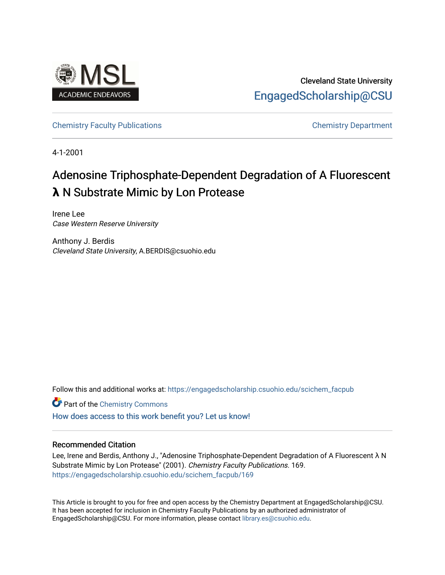

Cleveland State University [EngagedScholarship@CSU](https://engagedscholarship.csuohio.edu/) 

[Chemistry Faculty Publications](https://engagedscholarship.csuohio.edu/scichem_facpub) [Chemistry Department](https://engagedscholarship.csuohio.edu/scichem) 

4-1-2001

# Adenosine Triphosphate-Dependent Degradation of A Fluorescent **λ** N Substrate Mimic by Lon Protease

Irene Lee Case Western Reserve University

Anthony J. Berdis Cleveland State University, A.BERDIS@csuohio.edu

Follow this and additional works at: [https://engagedscholarship.csuohio.edu/scichem\\_facpub](https://engagedscholarship.csuohio.edu/scichem_facpub?utm_source=engagedscholarship.csuohio.edu%2Fscichem_facpub%2F169&utm_medium=PDF&utm_campaign=PDFCoverPages)

**Part of the Chemistry Commons** 

[How does access to this work benefit you? Let us know!](http://library.csuohio.edu/engaged/)

### Recommended Citation

Lee, Irene and Berdis, Anthony J., "Adenosine Triphosphate-Dependent Degradation of A Fluorescent λ N Substrate Mimic by Lon Protease" (2001). Chemistry Faculty Publications. 169. [https://engagedscholarship.csuohio.edu/scichem\\_facpub/169](https://engagedscholarship.csuohio.edu/scichem_facpub/169?utm_source=engagedscholarship.csuohio.edu%2Fscichem_facpub%2F169&utm_medium=PDF&utm_campaign=PDFCoverPages)

This Article is brought to you for free and open access by the Chemistry Department at EngagedScholarship@CSU. It has been accepted for inclusion in Chemistry Faculty Publications by an authorized administrator of EngagedScholarship@CSU. For more information, please contact [library.es@csuohio.edu](mailto:library.es@csuohio.edu).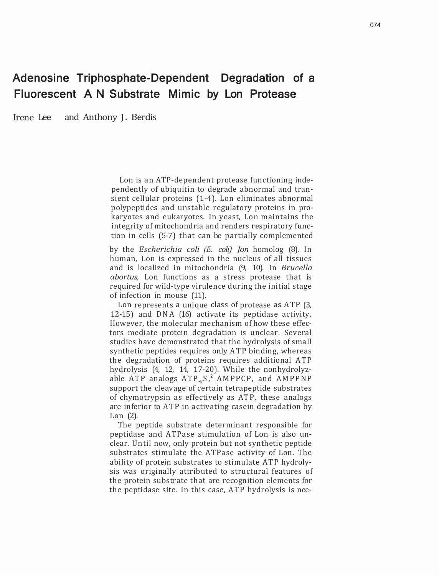## Adenosine Triphosphate-Dependent Degradation of a Fluorescent A N Substrate Mimic by Lon Protease

Irene Lee and Anthony J. Berdis

Lon is an ATP-dependent protease functioning independently of ubiquitin to degrade abnormal and transient cellular proteins (1-4). Lon eliminates abnormal polypeptides and unstable regulatory proteins in prokaryotes and eukaryotes. In yeast, Lon maintains the integrity of mitochondria and renders respiratory function in cells (5-7) that can be partially complemented

by the *Escherichia coli (E. coli) Jon* homolog (8). In human, Lon is expressed in the nucleus of all tissues and is localized in mitochondria (9, 10). In *Brucella abortus,* Lon functions as a stress protease that is required for wild-type virulence during the initial stage of infection in mouse (11).

Lon represents a unique class of protease as ATP (3, 12-15) and DNA (16) activate its peptidase activity. However, the molecular mechanism of how these effectors mediate protein degradation is unclear. Several studies have demonstrated that the hydrolysis of small synthetic peptides requires only ATP binding, whereas the degradation of proteins requires additional ATP hydrolysis (4, 12, 14, 17-20). While the nonhydrolyzable ATP analogs ATP<sub>-v</sub>S,<sup>2</sup> AMPPCP, and AMPPNP support the cleavage of certain tetrapeptide substrates of chymotrypsin as effectively as ATP, these analogs are inferior to ATP in activating casein degradation by Lon (2).

The peptide substrate determinant responsible for peptidase and ATPase stimulation of Lon is also unclear. Until now, only protein but not synthetic peptide substrates stimulate the ATPase activity of Lon. The ability of protein substrates to stimulate ATP hydrolysis was originally attributed to structural features of the protein substrate that are recognition elements for the peptidase site. In this case, ATP hydrolysis is nee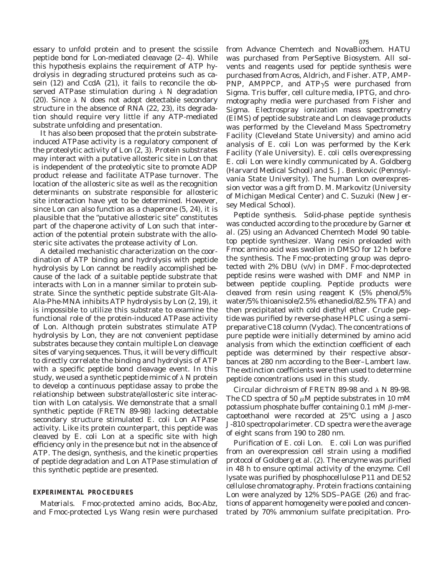essary to unfold protein and to present the scissile peptide bond for Lon-mediated cleavage (2–4). While this hypothesis explains the requirement of ATP hydrolysis in degrading structured proteins such as casein (12) and CcdA (21), it fails to reconcile the observed ATPase stimulation during  $\lambda$  N degradation (20). Since  $\lambda$  N does not adopt detectable secondary structure in the absence of RNA (22, 23), its degradation should require very little if any ATP-mediated substrate unfolding and presentation.

It has also been proposed that the protein substrateinduced ATPase activity is a regulatory component of the proteolytic activity of Lon (2, 3). Protein substrates may interact with a putative allosteric site in Lon that is independent of the proteolytic site to promote ADP product release and facilitate ATPase turnover. The location of the allosteric site as well as the recognition determinants on substrate responsible for allosteric site interaction have yet to be determined. However, since Lon can also function as a chaperone (5, 24), it is plausible that the "putative allosteric site" constitutes part of the chaperone activity of Lon such that interaction of the potential protein substrate with the allosteric site activates the protease activity of Lon.

A detailed mechanistic characterization on the coordination of ATP binding and hydrolysis with peptide hydrolysis by Lon cannot be readily accomplished because of the lack of a suitable peptide substrate that interacts with Lon in a manner similar to protein substrate. Since the synthetic peptide substrate Glt-Ala-Ala-Phe-MNA inhibits ATP hydrolysis by Lon (2, 19), it is impossible to utilize this substrate to examine the functional role of the protein-induced ATPase activity of Lon. Although protein substrates stimulate ATP hydrolysis by Lon, they are not convenient peptidase substrates because they contain multiple Lon cleavage sites of varying sequences. Thus, it will be very difficult to directly correlate the binding and hydrolysis of ATP with a specific peptide bond cleavage event. In this study, we used a synthetic peptide mimic of  $\lambda$  N protein to develop a continuous peptidase assay to probe the relationship between substrate/allosteric site interaction with Lon catalysis. We demonstrate that a small synthetic peptide (FRETN 89-98) lacking detectable secondary structure stimulated *E. coli* Lon ATPase activity. Like its protein counterpart, this peptide was cleaved by *E. coli* Lon at a specific site with high efficiency only in the presence but not in the absence of ATP. The design, synthesis, and the kinetic properties of peptide degradation and Lon ATPase stimulation of this synthetic peptide are presented.

#### **EXPERIMENTAL PROCEDURES**

*Materials.* Fmoc-protected amino acids, Boc-Abz, and Fmoc-protected Lys Wang resin were purchased from Advance Chemtech and NovaBiochem. HATU was purchased from PerSeptive Biosystem. All solvents and reagents used for peptide synthesis were purchased from Acros, Aldrich, and Fisher. ATP, AMP-PNP, AMPPCP, and  $ATP\gamma S$  were purchased from Sigma. Tris buffer, cell culture media, IPTG, and chromotography media were purchased from Fisher and Sigma. Electrospray ionization mass spectrometry (EIMS) of peptide substrate and Lon cleavage products was performed by the Cleveland Mass Spectrometry Facility (Cleveland State University) and amino acid analysis of *E. coli* Lon was performed by the Kerk Facility (Yale University). *E. coli* cells overexpressing *E. coli* Lon were kindly communicated by A. Goldberg (Harvard Medical School) and S. J. Benkovic (Pennsylvania State University). The human Lon overexpression vector was a gift from D. M. Markovitz (University of Michigan Medical Center) and C. Suzuki (New Jersey Medical School).

*Peptide synthesis.* Solid-phase peptide synthesis was conducted according to the procedure by Garner *et al.* (25) using an Advanced Chemtech Model 90 tabletop peptide synthesizer. Wang resin preloaded with Fmoc amino acid was swollen in DMSO for 12 h before the synthesis. The Fmoc-protecting group was deprotected with 2% DBU (v/v) in DMF. Fmoc-deprotected peptide resins were washed with DMF and NMP in between peptide coupling. Peptide products were cleaved from resin using reagent K (5% phenol/5% water/5% thioanisole/2.5% ethanediol/82.5% TFA) and then precipitated with cold diethyl ether. Crude peptide was purified by reverse-phase HPLC using a semipreparative C18 column (Vydac). The concentrations of pure peptide were initially determined by amino acid analysis from which the extinction coefficient of each peptide was determined by their respective absorbances at 280 nm according to the Beer–Lambert law. The extinction coefficients were then used to determine peptide concentrations used in this study.

*Circular dichroism of FRETN 89-98 and*  $\lambda$  *N 89-98.* The CD spectra of 50  $\mu$ M peptide substrates in 10 mM potassium phosphate buffer containing  $0.1 \text{ mM } \beta$ -mercaptoethanol were recorded at 25°C using a Jasco J-810 spectropolarimeter. CD spectra were the average of eight scans from 190 to 280 nm.

*Purification of E. coli Lon. E. coli* Lon was purified from an overexpression cell strain using a modified protocol of Goldberg *et al.* (2). The enzyme was purified in 48 h to ensure optimal activity of the enzyme. Cell lysate was purified by phosphocellulose P11 and DE52 cellulose chromatography. Protein fractions containing Lon were analyzed by 12% SDS–PAGE (26) and fractions of apparent homogeneity were pooled and concentrated by 70% ammonium sulfate precipitation. Pro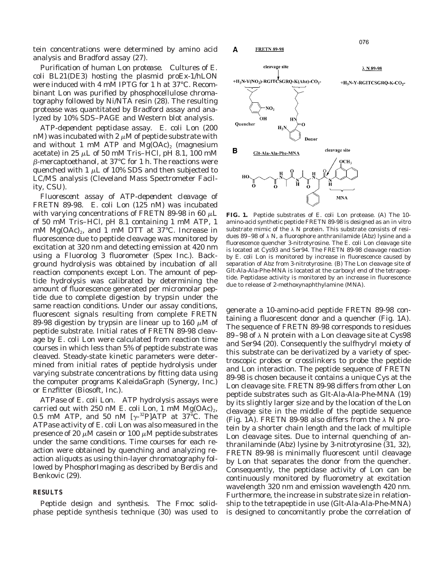tein concentrations were determined by amino acid analysis and Bradford assay (27).

*Purification of human Lon protease.* Cultures of *E. coli* BL21(DE3) hosting the plasmid proEx-1/hLON were induced with 4 mM IPTG for 1 h at 37°C. Recombinant Lon was purified by phosphocellulose chromatography followed by Ni/NTA resin (28). The resulting protease was quantitated by Bradford assay and analyzed by 10% SDS–PAGE and Western blot analysis.

*ATP-dependent peptidase assay. E. coli* Lon (200 nM) was incubated with 2  $\mu$ M of peptide substrate with and without 1 mM ATP and  $Mg(OAc)_2$  (magnesium acetate) in 25  $\mu$ L of 50 mM Tris–HCl, pH 8.1, 100 mM  $\beta$ -mercaptoethanol, at 37 $\degree$ C for 1 h. The reactions were quenched with 1  $\mu$ L of 10% SDS and then subjected to LC/MS analysis (Cleveland Mass Spectrometer Facility, CSU).

*Fluorescent assay of ATP-dependent cleavage of FRETN 89-98. E. coli* Lon (125 nM) was incubated with varying concentrations of FRETN 89-98 in 60  $\mu$ L of 50 mM Tris–HCl, pH 8.1 containing 1 mM ATP, 1 mM  $Mg(OAc)_{2}$ , and 1 mM DTT at 37°C. Increase in fluorescence due to peptide cleavage was monitored by excitation at 320 nm and detecting emission at 420 nm using a Fluorolog 3 fluorometer (Spex Inc.). Background hydrolysis was obtained by incubation of all reaction components except Lon. The amount of peptide hydrolysis was calibrated by determining the amount of fluorescence generated per micromolar peptide due to complete digestion by trypsin under the same reaction conditions. Under our assay conditions, fluorescent signals resulting from complete FRETN 89-98 digestion by trypsin are linear up to 160  $\mu$ M of peptide substrate. Initial rates of FRETN 89-98 cleavage by *E. coli* Lon were calculated from reaction time courses in which less than 5% of peptide substrate was cleaved. Steady-state kinetic parameters were determined from initial rates of peptide hydrolysis under varying substrate concentrations by fitting data using the computer programs KaleidaGraph (Synergy, Inc.) or Enzfitter (Biosoft, Inc.).

*ATPase of E. coli Lon.* ATP hydrolysis assays were carried out with 250 nM  $E.$  coli Lon, 1 mM  $Mg(OAc)<sub>2</sub>$ , 0.5 mM ATP, and 50 nM  $[\gamma^{32}P]$ ATP at 37°C. The ATPase activity of *E. coli* Lon was also measured in the presence of 20  $\mu$ M casein or 100  $\mu$ M peptide substrates under the same conditions. Time courses for each reaction were obtained by quenching and analyzing reaction aliquots as using thin-layer chromatography followed by PhosphorImaging as described by Berdis and Benkovic (29).

#### **RESULTS**

*Peptide design and synthesis.* The Fmoc solidphase peptide synthesis technique (30) was used to

**FIG. 1.** Peptide substrates of *E. coli* Lon protease. (A) The 10 amino-acid synthetic peptide FRETN 89-98 is designed as an *in vitro* substrate mimic of the  $\lambda$  N protein. This substrate consists of residues 89-98 of  $\lambda$  N, a fluorophore anthranilamide (Abz) lysine and a fluorescence quencher 3-nitrotyrosine. The *E. coli* Lon cleavage site is located at Cys93 and Ser94. The FRETN 89-98 cleavage reaction by *E. coli* Lon is monitored by increase in fluorescence caused by separation of Abz from 3-nitrotyrosine. (B) The Lon cleavage site of Glt-Ala-Ala-Phe-MNA is located at the carboxyl end of the tetrapeptide. Peptidase activity is monitored by an increase in fluorescence due to release of 2-methoxynaphthylamine (MNA).

generate a 10-amino-acid peptide FRETN 89-98 containing a fluorescent donor and a quencher (Fig. 1A). The sequence of FRETN 89-98 corresponds to residues 89–98 of  $\lambda$  N protein with a Lon cleavage site at Cys98 and Ser94 (20). Consequently the sulfhydryl moiety of this substrate can be derivatized by a variety of spectroscopic probes or crosslinkers to probe the peptide and Lon interaction. The peptide sequence of FRETN 89-98 is chosen because it contains a unique Cys at the Lon cleavage site. FRETN 89-98 differs from other Lon peptide substrates such as Glt-Ala-Ala-Phe-MNA (19) by its slightly larger size and by the location of the Lon cleavage site in the middle of the peptide sequence (Fig. 1A). FRETN 89-98 also differs from the  $\lambda$  N protein by a shorter chain length and the lack of multiple Lon cleavage sites. Due to internal quenching of anthranilaminde (Abz) lysine by 3-nitrotyrosine (31, 32), FRETN 89-98 is minimally fluorescent until cleavage by Lon that separates the donor from the quencher. Consequently, the peptidase activity of Lon can be continuously monitored by fluorometry at excitation wavelength 320 nm and emission wavelength 420 nm. Furthermore, the increase in substrate size in relationship to the tetrapeptide in use (Glt-Ala-Ala-Phe-MNA) is designed to concomitantly probe the correlation of



**FRETN 89-98** 

Α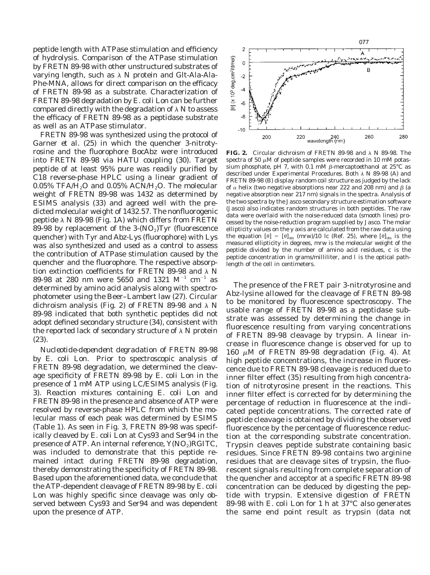peptide length with ATPase stimulation and efficiency of hydrolysis. Comparison of the ATPase stimulation by FRETN 89-98 with other unstructured substrates of varying length, such as  $\lambda$  N protein and Glt-Ala-Ala-Phe-MNA, allows for direct comparison on the efficacy of FRETN 89-98 as a substrate. Characterization of FRETN 89-98 degradation by *E. coli* Lon can be further compared directly with the degradation of  $\lambda$  N to assess the efficacy of FRETN 89-98 as a peptidase substrate as well as an ATPase stimulator.

FRETN 89-98 was synthesized using the protocol of Garner *et al.* (25) in which the quencher 3-nitrotyrosine and the fluorophore BocAbz were introduced into FRETN 89-98 via HATU coupling (30). Target peptide of at least 95% pure was readily purified by C18 reverse-phase HPLC using a linear gradient of 0.05% TFA/ $H_2O$  and 0.05% ACN/ $H_2O$ . The molecular weight of FRETN 89-98 was 1432 as determined by ESIMS analysis (33) and agreed well with the predicted molecular weight of 1432.57. The nonfluorogenic peptide  $\lambda$  N 89-98 (Fig. 1A) which differs from FRETN 89-98 by replacement of the  $3-(NO<sub>2</sub>)$ Tyr (fluorescence quencher) with Tyr and Abz-Lys (fluorophore) with Lys was also synthesized and used as a control to assess the contribution of ATPase stimulation caused by the quencher and the fluorophore. The respective absorption extinction coefficients for FRETN 89-98 and  $\lambda$  N 89-98 at 280 nm were 5650 and 1321  $M^{-1}$  cm<sup>-1</sup> as determined by amino acid analysis along with spectrophotometer using the Beer–Lambert law (27). Circular dichroism analysis (Fig. 2) of FRETN 89-98 and  $\lambda$  N 89-98 indicated that both synthetic peptides did not adopt defined secondary structure (34), consistent with the reported lack of secondary structure of  $\lambda$  N protein (23).

*Nucleotide-dependent degradation of FRETN 89-98 by E. coli Lon.* Prior to spectroscopic analysis of FRETN 89-98 degradation, we determined the cleavage specificity of FRETN 89-98 by *E. coli* Lon in the presence of 1 mM ATP using LC/ESIMS analysis (Fig. 3). Reaction mixtures containing *E. coli* Lon and FRETN 89-98 in the presence and absence of ATP were resolved by reverse-phase HPLC from which the molecular mass of each peak was determined by ESIMS (Table 1). As seen in Fig. 3, FRETN 89-98 was specifically cleaved by *E. coli* Lon at Cys93 and Ser94 in the presence of ATP. An internal reference,  $Y(NO<sub>2</sub>)RGITC$ , was included to demonstrate that this peptide remained intact during FRETN 89-98 degradation, thereby demonstrating the specificity of FRETN 89-98. Based upon the aforementioned data, we conclude that the ATP-dependent cleavage of FRETN 89-98 by *E. coli* Lon was highly specific since cleavage was only observed between Cys93 and Ser94 and was dependent upon the presence of ATP.



**FIG. 2.** Circular dichroism of FRETN 89-98 and  $\lambda$  N 89-98. The spectra of 50  $\mu$ M of peptide samples were recorded in 10 mM potassium phosphate, pH 7, with 0.1 mM  $\beta$ -mercaptoethanol at 25°C as described under Experimental Procedures. Both  $\lambda$  N 89-98 (A) and FRETN 89-98 (B) display random coil structure as judged by the lack of  $\alpha$  helix (two negative absorptions near 222 and 208 nm) and  $\beta$  (a negative absorption near 217 nm) signals in the spectra. Analysis of the two spectra by the Jasco secondary structure estimation software (Jasco) also indicates random structures in both peptides. The raw data were overlaid with the noise-reduced data (smooth lines) processed by the noise-reduction program supplied by Jasco. The molar ellipticity values on the *y* axis are calculated from the raw data using the equation  $[\theta] = [\theta]_{obs}$  (mrw)/10 lc (Ref. 25), where  $[\theta]_{obs}$  is the measured ellipticity in degrees, mrw is the molecular weight of the peptide divided by the number of amino acid residues, *c* is the peptide concentration in grams/milliliter, and *l* is the optical pathlength of the cell in centimeters.

The presence of the FRET pair 3-nitrotyrosine and Abz-lysine allowed for the cleavage of FRETN 89-98 to be monitored by fluorescence spectroscopy. The usable range of FRETN 89-98 as a peptidase substrate was assessed by determining the change in fluorescence resulting from varying concentrations of FRETN 89-98 cleavage by trypsin. A linear increase in fluorescence change is observed for up to 160  $\mu$ M of FRETN 89-98 degradation (Fig. 4). At high peptide concentrations, the increase in fluorescence due to FRETN 89-98 cleavage is reduced due to inner filter effect (35) resulting from high concentration of nitrotyrosine present in the reactions. This inner filter effect is corrected for by determining the percentage of reduction in fluorescence at the indicated peptide concentrations. The corrected rate of peptide cleavage is obtained by dividing the observed fluorescence by the percentage of fluorescence reduction at the corresponding substrate concentration. Trypsin cleaves peptide substrate containing basic residues. Since FRETN 89-98 contains two arginine residues that are cleavage sites of trypsin, the fluorescent signals resulting from complete separation of the quencher and acceptor at a specific FRETN 89-98 concentration can be deduced by digesting the peptide with trypsin. Extensive digestion of FRETN 89-98 with *E. coli* Lon for 1 h at 37°C also generates the same end point result as trypsin (data not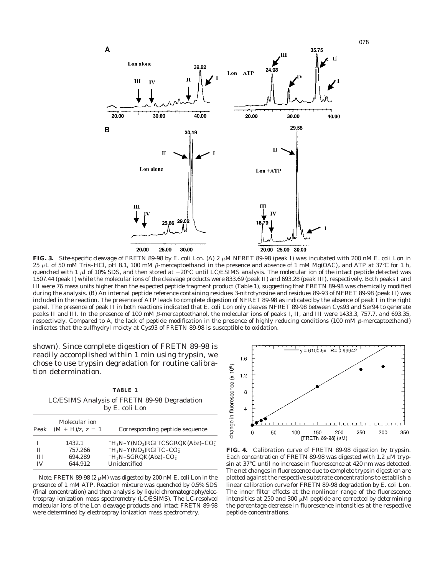

**FIG. 3.** Site-specific cleavage of FRETN 89-98 by *E. coli* Lon. (A) 2 <sup>m</sup>M NFRET 89-98 (peak I) was incubated with 200 nM *E. coli* Lon in 25  $\mu$ L of 50 mM Tris–HCl, pH 8.1, 100 mM  $\beta$ -mercaptoethanol in the presence and absence of 1 mM Mg(OAC)<sub>2</sub> and ATP at 37°C for 1 h, quenched with 1  $\mu$ l of 10% SDS, and then stored at  $-20^{\circ}$ C until LC/ESIMS analysis. The molecular ion of the intact peptide detected was 1507.44 (peak I) while the molecular ions of the cleavage products were 833.69 (peak II) and 693.28 (peak III), respectively. Both peaks I and III were 76 mass units higher than the expected peptide fragment product (Table 1), suggesting that FRETN 89-98 was chemically modified during the analysis. (B) An internal peptide reference containing residues 3-nitrotyrosine and residues 89-93 of NFRET 89-98 (peak II) was included in the reaction. The presence of ATP leads to complete digestion of NFRET 89-98 as indicated by the absence of peak I in the right panel. The presence of peak II in both reactions indicated that *E. coli* Lon only cleaves NFRET 89-98 between Cys93 and Ser94 to generate peaks II and III. In the presence of 100 mM  $\beta$ -mercaptoethanol, the molecular ions of peaks I, II, and III were 1433.3, 757.7, and 693.35, respectively. Compared to A, the lack of peptide modification in the presence of highly reducing conditions (100 mM  $\beta$ -mercaptoethanol) indicates that the sulfhydryl moiety at Cys93 of FRETN 89-98 is susceptible to oxidation.

shown). Since complete digestion of FRETN 89-98 is readily accomplished within 1 min using trypsin, we chose to use trypsin degradation for routine calibration determination.

**TABLE 1** LC/ESIMS Analysis of FRETN 89-98 Degradation by *E. coli* Lon

| Peak | Molecular ion<br>$(M + H)/z$ , $z = 1$ | Corresponding peptide sequence       |
|------|----------------------------------------|--------------------------------------|
|      | 1432.1                                 | $H_3N-Y(NO_2)RGITCSGRQK(Abz)-CO_2^-$ |
| Н    | 757.266                                | $H_3N-Y(NO_2)RGITC-CO_2^-$           |
| Ш    | 694.289                                | $H_3N-SGRQK(Abz)-CO_2^-$             |
| ΙV   | 644.912                                | Unidentified                         |
|      |                                        |                                      |

*Note.* FRETN 89-98 (2  $\mu$ M) was digested by 200 nM *E. coli* Lon in the presence of 1 mM ATP. Reaction mixture was quenched by 0.5% SDS (final concentration) and then analysis by liquid chromatography/electrospray ionization mass spectrometry (LC/ESIMS). The LC-resolved molecular ions of the Lon cleavage products and intact FRETN 89-98 were determined by electrospray ionization mass spectrometry.



**FIG. 4.** Calibration curve of FRETN 89-98 digestion by trypsin. Each concentration of FRETN 89-98 was digested with 1.2  $\mu$ M trypsin at 37°C until no increase in fluorescence at 420 nm was detected. The net changes in fluorescence due to complete trypsin digestion are plotted against the respective substrate concentrations to establish a linear calibration curve for FRETN 89-98 degradation by *E. coli* Lon. The inner filter effects at the nonlinear range of the fluorescence intensities at 250 and 300  $\mu$ M peptide are corrected by determining the percentage decrease in fluorescence intensities at the respective peptide concentrations.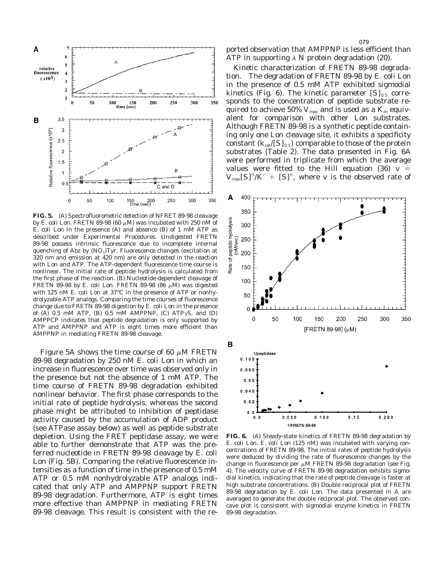

**FIG. 5.** (A) Spectrofluorometric detection of NFRET 89-98 cleavage by *E. coli* Lon. FRETN 89-98 (60  $\mu$ M) was incubated with 250 nM of *E. coli* Lon in the presence (A) and absence (B) of 1 mM ATP as described under Experimental Procedures. Undigested FRETN 89-98 possess intrinsic fluorescence due to incomplete internal quenching of Abz by  $(NO<sub>2</sub>)$ Tyr. Fluorescence changes (excitation at 320 nm and emission at 420 nm) are only detected in the reaction with Lon and ATP. The ATP-dependent fluorescence time course is nonlinear. The initial rate of peptide hydrolysis is calculated from the first phase of the reaction. (B) Nucleotide-dependent cleavage of FRETN 89-98 by *E. coli* Lon. FRETN 89-98 (86  $\mu$ M) was digested with 125 nM *E. coli* Lon at 37°C in the presence of ATP or nonhydrolyzable ATP analogs. Comparing the time courses of fluorescence change due to FRETN 89-98 digestion by *E. coli* Lon in the presence of (A) 0.5 mM ATP, (B) 0.5 mM AMPPNP, (C) ATP $\gamma$ S, and (D) AMPPCP indicates that peptide degradation is only supported by ATP and AMPPNP and ATP is eight times more efficient than AMPPNP in mediating FRETN 89-98 cleavage.

Figure 5A shows the time course of 60  $\mu$ M FRETN 89-98 degradation by 250 nM *E. coli* Lon in which an increase in fluorescence over time was observed only in the presence but not the absence of 1 mM ATP. The time course of FRETN 89-98 degradation exhibited nonlinear behavior. The first phase corresponds to the initial rate of peptide hydrolysis, whereas the second phase might be attributed to inhibition of peptidase activity caused by the accumulation of ADP product (see ATPase assay below) as well as peptide substrate depletion. Using the FRET peptidase assay, we were able to further demonstrate that ATP was the preferred nucleotide in FRETN 89-98 cleavage by *E. coli* Lon (Fig. 5B). Comparing the relative fluorescence intensities as a function of time in the presence of 0.5 mM ATP or 0.5 mM nonhydrolyzable ATP analogs indicated that only ATP and AMPPNP support FRETN 89-98 degradation. Furthermore, ATP is eight times more effective than AMPPNP in mediating FRETN 89-98 cleavage. This result is consistent with the reported observation that AMPPNP is less efficient than ATP in supporting  $\lambda$  N protein degradation (20). 079

*Kinetic characterization of FRETN 89-98 degradation.* The degradation of FRETN 89-98 by *E. coli* Lon in the presence of 0.5 mM ATP exhibited sigmodial kinetics (Fig. 6). The kinetic parameter  $[S]_{0.5}$  corresponds to the concentration of peptide substrate required to achieve 50%  $V_{\text{max}}$  and is used as a  $K_{\text{m}}$  equivalent for comparison with other Lon substrates. Although FRETN 89-98 is a synthetic peptide containing only one Lon cleavage site, it exhibits a specificity constant  $(k_{\text{cat}}/[S]_{0.5})$  comparable to those of the protein substrates (Table 2). The data presented in Fig. 6A were performed in triplicate from which the average values were fitted to the Hill equation  $(36)$   *=*  $V_{\text{max}}[S]^n/K' + [S]^n$ , where *v* is the observed rate of



**FIG. 6.** (A) Steady-state kinetics of FRETN 89-98 degradation by *E. coli* Lon. *E. coli* Lon (125 nM) was incubated with varying concentrations of FRETN 89-98. The initial rates of peptide hydrolysis were deduced by dividing the rate of fluorescence changes by the change in fluorescence per  $\mu$ M FRETN 89-98 degradation (see Fig. 4). The velocity curve of FRETN 89-98 degradation exhibits sigmodial kinetics, indicating that the rate of peptide cleavage is faster at high substrate concentrations. (B) Double reciprocal plot of FRETN 89-98 degradation by *E. coli* Lon. The data presented in A are averaged to generate the double reciprocal plot. The observed concave plot is consistent with sigmodial enzyme kinetics in FRETN 89-98 degradation.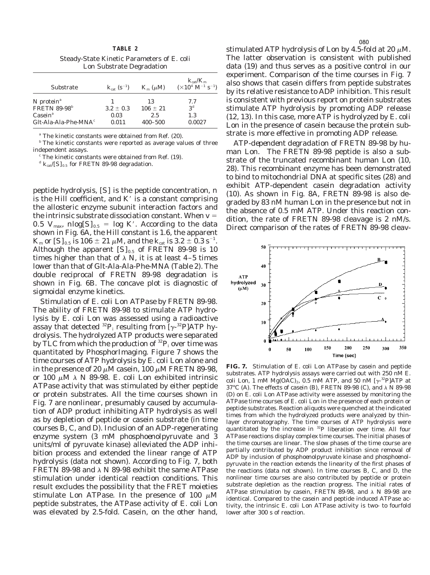**TABLE 2** Steady-State Kinetic Parameters of *E. coli* Lon Substrate Degradation

| Substrate                           | $k_{\text{cat}}(\text{s}^{-1})$ | $K_{\rm m}$ ( $\mu$ M) | $K_{\text{cat}}/K_{\text{m}}$<br>$(\times 10^4 \text{ M}^{-1} \text{ s}^{-1})$ |
|-------------------------------------|---------------------------------|------------------------|--------------------------------------------------------------------------------|
| N protein <sup><math>a</math></sup> |                                 | 13                     | 7.7                                                                            |
| <b>FRETN 89-98</b> <sup>b</sup>     | $3.2 \pm 0.3$                   | $106 \pm 21$           | 3 <sup>d</sup>                                                                 |
| $\text{Casein}^a$                   | 0.03                            | 2.5                    | 1.3                                                                            |
| Glt-Ala-Ala-Phe-MNA $^c$            | 0.011                           | $400 - 500$            | 0.0027                                                                         |

*<sup>a</sup>* The kinetic constants were obtained from Ref. (20).

*<sup>b</sup>* The kinetic constants were reported as average values of three independent assays.

*<sup>c</sup>* The kinetic constants were obtained from Ref. (19).

 $d K_{\text{cat}}/[S]_{0.5}$  for FRETN 89-98 degradation.

peptide hydrolysis, [*S*] is the peptide concentration, *n* is the Hill coefficient, and  $K'$  is a constant comprising the allosteric enzyme subunit interaction factors and the intrinsic substrate dissociation constant. When  $v =$ 0.5  $V_{\text{max}}$ ,  $nlog[S]_{0.5}$  = log K'. According to the data shown in Fig. 6A, the Hill constant is 1.6, the apparent  $K_\mathrm{m}$  or [*S*]  $_{0.5}$  is 106  $\pm$  21  $\mu$ M, and the  $k_\mathrm{cat}$  is 3.2  $\pm$  0.3 s $^{-1}.$ Although the apparent  $[S]_{0.5}$  of FRETN 89-98 is 10 times higher than that of  $\lambda$  N, it is at least 4–5 times lower than that of Glt-Ala-Ala-Phe-MNA (Table 2). The double reciprocal of FRETN 89-98 degradation is shown in Fig. 6B. The concave plot is diagnostic of sigmoidal enzyme kinetics.

*Stimulation of E. coli Lon ATPase by FRETN 89-98.* The ability of FRETN 89-98 to stimulate ATP hydrolysis by *E. coli* Lon was assessed using a radioactive assay that detected  ${}^{32}P_1$  resulting from [ $\gamma$ - ${}^{32}P$ ]ATP hydrolysis. The hydrolyzed ATP products were separated by TLC from which the production of  ${}^{32}P_1$  over time was quantitated by PhosphorImaging. Figure 7 shows the time courses of ATP hydrolysis by *E. coli* Lon alone and in the presence of 20  $\mu$ M casein, 100  $\mu$ M FRETN 89-98, or 100  $\mu$ M  $\lambda$  N 89-98. *E. coli* Lon exhibited intrinsic ATPase activity that was stimulated by either peptide or protein substrates. All the time courses shown in Fig. 7 are nonlinear, presumably caused by accumulation of ADP product inhibiting ATP hydrolysis as well as by depletion of peptide or casein substrate (in time courses B, C, and D). Inclusion of an ADP-regenerating enzyme system (3 mM phospho*enol*pyruvate and 3 units/ml of pyruvate kinase) alleviated the ADP inhibition process and extended the linear range of ATP hydrolysis (data not shown). According to Fig. 7, both FRETN 89-98 and  $\lambda$  N 89-98 exhibit the same ATPase stimulation under identical reaction conditions. This result excludes the possibility that the FRET moieties stimulate Lon ATPase. In the presence of 100  $\mu$ M peptide substrates, the ATPase activity of *E. coli* Lon was elevated by 2.5-fold. Casein, on the other hand,

stimulated ATP hydrolysis of Lon by 4.5-fold at 20  $\mu$ M. The latter observation is consistent with published data (19) and thus serves as a positive control in our experiment. Comparison of the time courses in Fig. 7 also shows that casein differs from peptide substrates by its relative resistance to ADP inhibition. This result is consistent with previous report on protein substrates stimulate ATP hydrolysis by promoting ADP release (12, 13). In this case, more ATP is hydrolyzed by *E. coli* Lon in the presence of casein because the protein substrate is more effective in promoting ADP release.

*ATP-dependent degradation of FRETN 89-98 by human Lon.* The FRETN 89-98 peptide is also a substrate of the truncated recombinant human Lon (10, 28). This recombinant enzyme has been demonstrated to bind to mitochondrial DNA at specific sites (28) and exhibit ATP-dependent casein degradation activity (10). As shown in Fig. 8A, FRETN 89-98 is also degraded by 83 nM human Lon in the presence but not in the absence of 0.5 mM ATP. Under this reaction condition, the rate of FRETN 89-98 cleavage is 2 nM/s. Direct comparison of the rates of FRETN 89-98 cleav-



**FIG. 7.** Stimulation of *E. coli* Lon ATPase by casein and peptide substrates. ATP hydrolysis assays were carried out with 250 nM *E. coli* Lon, 1 mM Mg(OAC)<sub>2</sub>, 0.5 mM ATP, and 50 nM  $[\gamma$ <sup>-32</sup>P]ATP at 37°C (A). The effects of casein (B), FRETN 89-98 (C), and  $\lambda$  N 89-98 (D) on *E. coli* Lon ATPase activity were assessed by monitoring the ATPase time courses of *E. coli* Lon in the presence of each protein or peptide substrates. Reaction aliquots were quenched at the indicated times from which the hydrolyzed products were analyzed by thinlayer chromatography. The time courses of ATP hydrolysis were quantitated by the increase in 32P liberation over time. All four ATPase reactions display complex time courses. The initial phases of the time courses are linear. The slow phases of the time course are partially contributed by ADP product inhibition since removal of ADP by inclusion of phospho*enol*pyruvate kinase and phospho*enol*pyruvate in the reaction extends the linearity of the first phases of the reactions (data not shown). In time courses B, C, and D, the nonlinear time courses are also contributed by peptide or protein substrate depletion as the reaction progress. The initial rates of ATPase stimulation by casein, FRETN 89-98, and  $\lambda$  N 89-98 are identical. Compared to the casein and peptide induced ATPase activity, the intrinsic *E. coli* Lon ATPase activity is two- to fourfold lower after 300 s of reaction.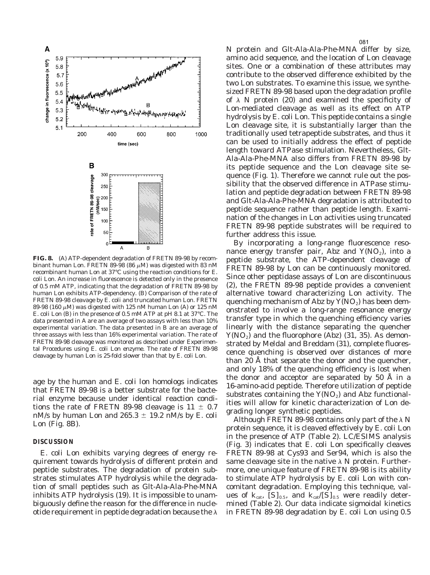

**FIG. 8.** (A) ATP-dependent degradation of FRETN 89-98 by recombinant human Lon. FRETN 89-98 (86  $\mu$ M) was digested with 83 nM recombinant human Lon at 37°C using the reaction conditions for *E. coli* Lon. An increase in fluorescence is detected only in the presence of 0.5 mM ATP, indicating that the degradation of FRETN 89-98 by human Lon exhibits ATP-dependency. (B) Comparison of the rate of FRETN 89-98 cleavage by *E. coli* and truncated human Lon. FRETN 89-98 (160  $\mu$ M) was digested with 125 nM human Lon (A) or 125 nM *E. coli* Lon (B) in the presence of 0.5 mM ATP at pH 8.1 at 37°C. The data presented in A are an average of two assays with less than 10% experimental variation. The data presented in B are an average of three assays with less than 16% experimental variation. The rate of FRETN 89-98 cleavage was monitored as described under Experimental Procedures using *E. coli* Lon enzyme. The rate of FRETN 89-98 cleavage by human Lon is 25-fold slower than that by *E. coli* Lon.

age by the human and *E. coli* lon homologs indicates that FRETN 89-98 is a better substrate for the bacterial enzyme because under identical reaction conditions the rate of FRETN 89-98 cleavage is  $11 \pm 0.7$ nM/s by human Lon and  $265.3 \pm 19.2$  nM/s by *E. coli* Lon (Fig. 8B).

#### **DISCUSSION**

*E. coli* Lon exhibits varying degrees of energy requirement towards hydrolysis of different protein and peptide substrates. The degradation of protein substrates stimulates ATP hydrolysis while the degradation of small peptides such as Glt-Ala-Ala-Phe-MNA inhibits ATP hydrolysis (19). It is impossible to unambiguously define the reason for the difference in nucleotide requirement in peptide degradation because the  $\lambda$ 

N protein and Glt-Ala-Ala-Phe-MNA differ by size, amino acid sequence, and the location of Lon cleavage sites. One or a combination of these attributes may contribute to the observed difference exhibited by the two Lon substrates. To examine this issue, we synthesized FRETN 89-98 based upon the degradation profile of  $\lambda$  N protein (20) and examined the specificity of Lon-mediated cleavage as well as its effect on ATP hydrolysis by *E. coli* Lon. This peptide contains a single Lon cleavage site, it is substantially larger than the traditionally used tetrapeptide substrates, and thus it can be used to initially address the effect of peptide length toward ATPase stimulation. Nevertheless, Glt-Ala-Ala-Phe-MNA also differs from FRETN 89-98 by its peptide sequence and the Lon cleavage site sequence (Fig. 1). Therefore we cannot rule out the possibility that the observed difference in ATPase stimulation and peptide degradation between FRETN 89-98 and Glt-Ala-Ala-Phe-MNA degradation is attributed to peptide sequence rather than peptide length. Examination of the changes in Lon activities using truncated FRETN 89-98 peptide substrates will be required to further address this issue.

By incorporating a long-range fluorescence resonance energy transfer pair, Abz and  $Y(NO<sub>2</sub>)$ , into a peptide substrate, the ATP-dependent cleavage of FRETN 89-98 by Lon can be continuously monitored. Since other peptidase assays of Lon are discontinuous (2), the FRETN 89-98 peptide provides a convenient alternative toward characterizing Lon activity. The quenching mechanism of Abz by  $Y(NO<sub>2</sub>)$  has been demonstrated to involve a long-range resonance energy transfer type in which the quenching efficiency varies linearly with the distance separating the quencher  $Y(NO<sub>2</sub>)$  and the fluorophore (Abz) (31, 35). As demonstrated by Meldal and Breddam (31), complete fluorescence quenching is observed over distances of more than 20 Å that separate the donor and the quencher, and only 18% of the quenching efficiency is lost when the donor and acceptor are separated by 50 Å in a 16-amino-acid peptide. Therefore utilization of peptide substrates containing the  $Y(NO<sub>2</sub>)$  and Abz functionalities will allow for kinetic characterization of Lon degrading longer synthetic peptides.

Although FRETN 89-98 contains only part of the  $\lambda$  N protein sequence, it is cleaved effectively by *E. coli* Lon in the presence of ATP (Table 2). LC/ESIMS analysis (Fig. 3) indicates that *E. coli* Lon specifically cleaves FRETN 89-98 at Cys93 and Ser94, which is also the same cleavage site in the native  $\lambda$  N protein. Furthermore, one unique feature of FRETN 89-98 is its ability to stimulate ATP hydrolysis by *E. coli* Lon with concomitant degradation. Employing this technique, values of  $k_{\text{cat}}$ ,  $[S]_{0.5}$ , and  $k_{\text{cat}}/[S]_{0.5}$  were readily determined (Table 2). Our data indicate sigmoidal kinetics in FRETN 89-98 degradation by *E. coli* Lon using 0.5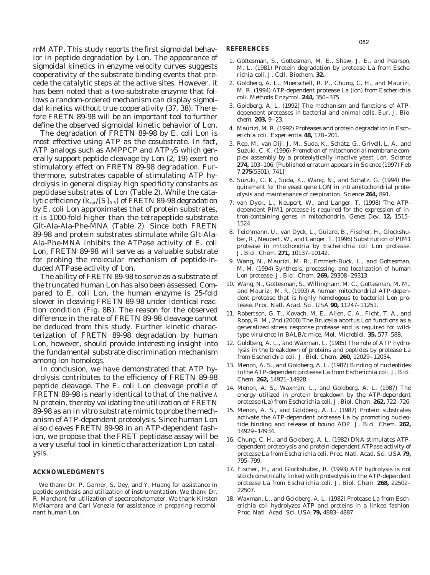mM ATP. This study reports the first sigmoidal behavior in peptide degradation by Lon. The appearance of sigmoidal kinetics in enzyme velocity curves suggests cooperativity of the substrate binding events that precede the catalytic steps at the active sites. However, it has been noted that a two-substrate enzyme that follows a random-ordered mechanism can display sigmoidal kinetics without true cooperativity (37, 38). Therefore FRETN 89-98 will be an important tool to further define the observed sigmoidal kinetic behavior of Lon.

The degradation of FRETN 89-98 by *E. coli* Lon is most effective using ATP as the cosubstrate. In fact, ATP analogs such as AMPPCP and  $ATP\gamma S$  which generally support peptide cleavage by Lon (2, 19) exert no stimulatory effect on FRETN 89-98 degradation. Furthermore, substrates capable of stimulating ATP hydrolysis in general display high specificity constants as peptidase substrates of Lon (Table 2). While the catalytic efficiency  $(k_{cat}/[S]_{0.5})$  of FRETN 89-98 degradation by *E. coli* Lon approximates that of protein substrates, it is 1000-fold higher than the tetrapeptide substrate Glt-Ala-Ala-Phe-MNA (Table 2). Since both FRETN 89-98 and protein substrates stimulate while Glt-Ala-Ala-Phe-MNA inhibits the ATPase activity of *E. coli* Lon, FRETN 89-98 will serve as a valuable substrate for probing the molecular mechanism of peptide-induced ATPase activity of Lon.

The ability of FRETN 89-98 to serve as a substrate of the truncated human Lon has also been assessed. Compared to *E. coli* Lon, the human enzyme is 25-fold slower in cleaving FRETN 89-98 under identical reaction condition (Fig. 8B). The reason for the observed difference in the rate of FRETN 89-98 cleavage cannot be deduced from this study. Further kinetic characterization of FRETN 89-98 degradation by human Lon, however, should provide interesting insight into the fundamental substrate discrimination mechanism among *lon* homologs.

In conclusion, we have demonstrated that ATP hydrolysis contributes to the efficiency of FRETN 89-98 peptide cleavage. The *E. coli* Lon cleavage profile of FRETN 89-98 is nearly identical to that of the native  $\lambda$ N protein, thereby validating the utilization of FRETN 89-98 as an *in vitro* substrate mimic to probe the mechanism of ATP-dependent proteolysis. Since human Lon also cleaves FRETN 89-98 in an ATP-dependent fashion, we propose that the FRET peptidase assay will be a very useful tool in kinetic characterization Lon catalysis.

#### **ACKNOWLEDGMENTS**

We thank Dr. P. Garner, S. Dey, and Y. Huang for assistance in peptide synthesis and utilization of instrumentation. We thank Dr. R. Marchant for utilization of spectrophotometer. We thank Kirsten McNamara and Carl Venezia for assistance in preparing recombinant human Lon.

#### **REFERENCES**

- 1. Gottesman, S., Gottesman, M. E., Shaw, J. E., and Pearson, M. L. (1981) Protein degradation by protease La from *Escherichia coli. J. Cell. Biochem.* **32.**
- 2. Goldberg, A. L., Moerschell, R. P., Chung, C. H., and Maurizi, M. R. (1994) ATP-dependent protease La (lon) from *Escherichia coli. Methods Enzymol.* **244,** 350–375.
- 3. Goldberg, A. L. (1992) The mechanism and functions of ATPdependent proteases in bacterial and animal cells. *Eur. J. Biochem.* **203,** 9–23.
- 4. Maurizi, M. R. (1992) Proteases and protein degradation in *Escherichia coli. Experientia* **48,** 178–201.
- 5. Rep, M., van Dijl, J. M., Suda, K., Schatz, G., Grivell, L. A., and Suzuki, C. K. (1996) Promotion of mitochondrial membrane complex assembly by a proteolytically inactive yeast Lon. *Science* **274,** 103–106. [Published erratum appears in *Science* (1997) Feb 7;**275**(5301), 741]
- 6. Suzuki, C. K., Suda, K., Wang, N., and Schatz, G. (1994) Requirement for the yeast gene LON in intramitochondrial proteolysis and maintenance of respiration. *Science* **264,** 891.
- 7. van Dyck, L., Neupert, W., and Langer, T. (1998) The ATPdependent PIM1 protease is required for the expression of intron-containing genes in mitochondria. *Genes Dev.* **12,** 1515– 1524.
- 8. Teichmann, U., van Dyck, L., Guiard, B., Fischer, H., Glockshuber, R., Neupert, W., and Langer, T. (1996) Substitution of PIM1 protease in mitochondria by *Escherichia coli* Lon protease. *J. Biol. Chem.* **271,** 10137–10142.
- 9. Wang, N., Maurizi, M. R., Emmert-Buck, L., and Gottesman, M. M. (1994) Synthesis, processing, and localization of human Lon protease. *J. Biol. Chem.* **269,** 29308–29313.
- 10. Wang, N., Gottesman, S., Willingham, M. C., Gottesman, M. M., and Maurizi, M. R. (1993) A human mitochondrial ATP-dependent protease that is highly homologous to bacterial Lon protease. *Proc. Natl. Acad. Sci. USA* **90,** 11247–11251.
- 11. Robertson, G. T., Kovach, M. E., Allen, C. A., Ficht, T. A., and Roop, R. M., 2nd (2000) The Brucella abortus Lon functions as a generalized stress response protease and is required for wildtype virulence in BALB/c mice. *Mol. Microbiol.* **35,** 577–588.
- 12. Goldberg, A. L., and Waxman, L. (1985) The role of ATP hydrolysis in the breakdown of proteins and peptides by protease La from *Escherichia coli. J. Biol. Chem.* **260,** 12029–12034.
- 13. Menon, A. S., and Goldberg, A. L. (1987) Binding of nucleotides to the ATP-dependent protease La from *Escherichia coli. J. Biol. Chem.* **262,** 14921–14928.
- 14. Menon, A. S., Waxman, L., and Goldberg, A. L. (1987) The energy utilized in protein breakdown by the ATP-dependent protease (La) from *Escherichia coli. J. Biol. Chem.* **262,** 722–726.
- 15. Menon, A. S., and Goldberg, A. L. (1987) Protein substrates activate the ATP-dependent protease La by promoting nucleotide binding and release of bound ADP. *J. Biol. Chem.* **262,** 14929–14934.
- 16. Chung, C. H., and Goldberg, A. L. (1982) DNA stimulates ATPdependent proteolysis and protein-dependent ATPase activity of protease La from *Escherichia coli. Proc. Natl. Acad. Sci. USA* **79,** 795–799.
- 17. Fischer, H., and Glockshuber, R. (1993) ATP hydrolysis is not stoichiometrically linked with proteolysis in the ATP-dependent protease La from *Escherichia coli. J. Biol. Chem.* **268,** 22502– 22507.
- 18. Waxman, L., and Goldberg, A. L. (1982) Protease La from *Escherichia coli* hydrolyzes ATP and proteins in a linked fashion. *Proc. Natl. Acad. Sci. USA* **79,** 4883–4887.